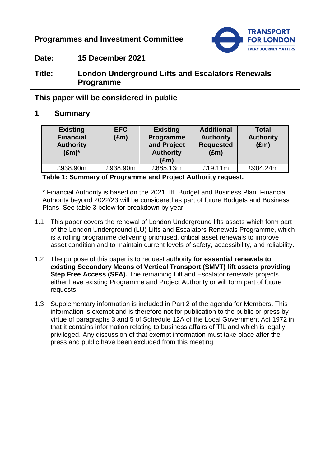# **Programmes and Investment Committee**



**Date: 15 December 2021**

# **Title: London Underground Lifts and Escalators Renewals Programme**

# **This paper will be considered in public**

# **1 Summary**

| <b>Existing</b><br><b>Financial</b><br><b>Authority</b><br>$(\text{Em})^*$ | <b>EFC</b><br>$(\text{Em})$ | <b>Existing</b><br>Programme<br>and Project<br><b>Authority</b><br>$(\text{Em})$ | <b>Additional</b><br><b>Authority</b><br><b>Requested</b><br>$(\text{Em})$ | <b>Total</b><br><b>Authority</b><br>$(\text{Em})$ |
|----------------------------------------------------------------------------|-----------------------------|----------------------------------------------------------------------------------|----------------------------------------------------------------------------|---------------------------------------------------|
| £938.90m                                                                   | £938.90m                    | £885.13m                                                                         | £19.11m                                                                    | £904.24m                                          |

**Table 1: Summary of Programme and Project Authority request.**

\* Financial Authority is based on the 2021 TfL Budget and Business Plan. Financial Authority beyond 2022/23 will be considered as part of future Budgets and Business Plans. See table 3 below for breakdown by year.

- 1.1 This paper covers the renewal of London Underground lifts assets which form part of the London Underground (LU) Lifts and Escalators Renewals Programme, which is a rolling programme delivering prioritised, critical asset renewals to improve asset condition and to maintain current levels of safety, accessibility, and reliability.
- 1.2 The purpose of this paper is to request authority **for essential renewals to existing Secondary Means of Vertical Transport (SMVT) lift assets providing Step Free Access (SFA).** The remaining Lift and Escalator renewals projects either have existing Programme and Project Authority or will form part of future requests.
- 1.3 Supplementary information is included in Part 2 of the agenda for Members. This information is exempt and is therefore not for publication to the public or press by virtue of paragraphs 3 and 5 of Schedule 12A of the Local Government Act 1972 in that it contains information relating to business affairs of TfL and which is legally privileged. Any discussion of that exempt information must take place after the press and public have been excluded from this meeting.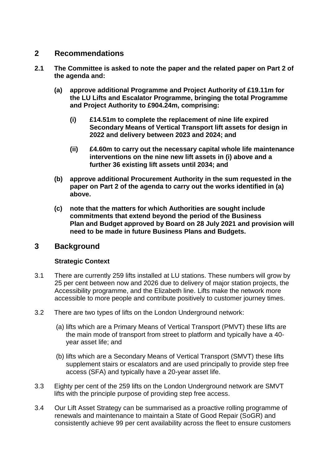### **2 Recommendations**

- **2.1 The Committee is asked to note the paper and the related paper on Part 2 of the agenda and:**
	- **(a) approve additional Programme and Project Authority of £19.11m for the LU Lifts and Escalator Programme, bringing the total Programme and Project Authority to £904.24m, comprising:**
		- **(i) £14.51m to complete the replacement of nine life expired Secondary Means of Vertical Transport lift assets for design in 2022 and delivery between 2023 and 2024; and**
		- **(ii) £4.60m to carry out the necessary capital whole life maintenance interventions on the nine new lift assets in (i) above and a further 36 existing lift assets until 2034; and**
	- **(b) approve additional Procurement Authority in the sum requested in the paper on Part 2 of the agenda to carry out the works identified in (a) above.**
	- **(c) note that the matters for which Authorities are sought include commitments that extend beyond the period of the Business Plan and Budget approved by Board on 28 July 2021 and provision will need to be made in future Business Plans and Budgets.**

### **3 Background**

#### **Strategic Context**

- 3.1 There are currently 259 lifts installed at LU stations. These numbers will grow by 25 per cent between now and 2026 due to delivery of major station projects, the Accessibility programme, and the Elizabeth line. Lifts make the network more accessible to more people and contribute positively to customer journey times.
- 3.2 There are two types of lifts on the London Underground network:
	- (a) lifts which are a Primary Means of Vertical Transport (PMVT) these lifts are the main mode of transport from street to platform and typically have a 40 year asset life; and
	- (b) lifts which are a Secondary Means of Vertical Transport (SMVT) these lifts supplement stairs or escalators and are used principally to provide step free access (SFA) and typically have a 20-year asset life.
- 3.3 Eighty per cent of the 259 lifts on the London Underground network are SMVT lifts with the principle purpose of providing step free access.
- 3.4 Our Lift Asset Strategy can be summarised as a proactive rolling programme of renewals and maintenance to maintain a State of Good Repair (SoGR) and consistently achieve 99 per cent availability across the fleet to ensure customers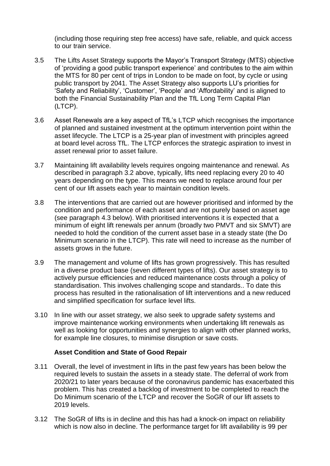(including those requiring step free access) have safe, reliable, and quick access to our train service.

- 3.5 The Lifts Asset Strategy supports the Mayor's Transport Strategy (MTS) objective of 'providing a good public transport experience' and contributes to the aim within the MTS for 80 per cent of trips in London to be made on foot, by cycle or using public transport by 2041. The Asset Strategy also supports LU's priorities for 'Safety and Reliability', 'Customer', 'People' and 'Affordability' and is aligned to both the Financial Sustainability Plan and the TfL Long Term Capital Plan (LTCP).
- 3.6 Asset Renewals are a key aspect of TfL's LTCP which recognises the importance of planned and sustained investment at the optimum intervention point within the asset lifecycle. The LTCP is a 25-year plan of investment with principles agreed at board level across TfL. The LTCP enforces the strategic aspiration to invest in asset renewal prior to asset failure.
- 3.7 Maintaining lift availability levels requires ongoing maintenance and renewal. As described in paragraph 3.2 above, typically, lifts need replacing every 20 to 40 years depending on the type. This means we need to replace around four per cent of our lift assets each year to maintain condition levels.
- 3.8 The interventions that are carried out are however prioritised and informed by the condition and performance of each asset and are not purely based on asset age (see paragraph 4.3 below). With prioritised interventions it is expected that a minimum of eight lift renewals per annum (broadly two PMVT and six SMVT) are needed to hold the condition of the current asset base in a steady state (the Do Minimum scenario in the LTCP). This rate will need to increase as the number of assets grows in the future.
- 3.9 The management and volume of lifts has grown progressively. This has resulted in a diverse product base (seven different types of lifts). Our asset strategy is to actively pursue efficiencies and reduced maintenance costs through a policy of standardisation. This involves challenging scope and standards.. To date this process has resulted in the rationalisation of lift interventions and a new reduced and simplified specification for surface level lifts.
- 3.10 In line with our asset strategy, we also seek to upgrade safety systems and improve maintenance working environments when undertaking lift renewals as well as looking for opportunities and synergies to align with other planned works, for example line closures, to minimise disruption or save costs.

#### **Asset Condition and State of Good Repair**

- 3.11 Overall, the level of investment in lifts in the past few years has been below the required levels to sustain the assets in a steady state. The deferral of work from 2020/21 to later years because of the coronavirus pandemic has exacerbated this problem. This has created a backlog of investment to be completed to reach the Do Minimum scenario of the LTCP and recover the SoGR of our lift assets to 2019 levels.
- 3.12 The SoGR of lifts is in decline and this has had a knock-on impact on reliability which is now also in decline. The performance target for lift availability is 99 per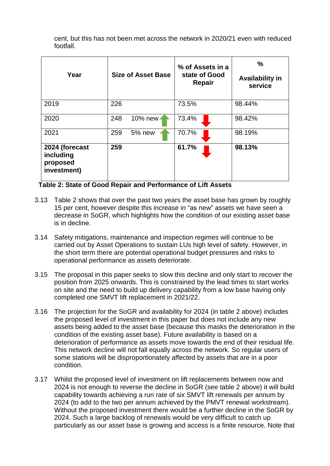cent, but this has not been met across the network in 2020/21 even with reduced footfall.

| Year                                                   | <b>Size of Asset Base</b> | % of Assets in a<br>state of Good<br><b>Repair</b> | $\%$<br><b>Availability in</b><br>service |
|--------------------------------------------------------|---------------------------|----------------------------------------------------|-------------------------------------------|
| 2019                                                   | 226                       | 73.5%                                              | 98.44%                                    |
| 2020                                                   | 248<br>10% new            | 73.4%                                              | 98.42%                                    |
| 2021                                                   | 259<br>$5%$ new           | 70.7%                                              | 98.19%                                    |
| 2024 (forecast<br>including<br>proposed<br>investment) | 259                       | 61.7%                                              | 98.13%                                    |

**Table 2: State of Good Repair and Performance of Lift Assets** 

- 3.13 Table 2 shows that over the past two years the asset base has grown by roughly 15 per cent, however despite this increase in "as new" assets we have seen a decrease in SoGR, which highlights how the condition of our existing asset base is in decline.
- 3.14 Safety mitigations, maintenance and inspection regimes will continue to be carried out by Asset Operations to sustain LUs high level of safety. However, in the short term there are potential operational budget pressures and risks to operational performance as assets deteriorate.
- 3.15 The proposal in this paper seeks to slow this decline and only start to recover the position from 2025 onwards. This is constrained by the lead times to start works on site and the need to build up delivery capability from a low base having only completed one SMVT lift replacement in 2021/22.
- 3.16 The projection for the SoGR and availability for 2024 (in table 2 above) includes the proposed level of investment in this paper but does not include any new assets being added to the asset base (because this masks the deterioration in the condition of the existing asset base). Future availability is based on a deterioration of performance as assets move towards the end of their residual life. This network decline will not fall equally across the network. So regular users of some stations will be disproportionately affected by assets that are in a poor condition.
- 3.17 Whilst the proposed level of investment on lift replacements between now and 2024 is not enough to reverse the decline in SoGR (see table 2 above) it will build capability towards achieving a run rate of six SMVT lift renewals per annum by 2024 (to add to the two per annum achieved by the PMVT renewal workstream). Without the proposed investment there would be a further decline in the SoGR by 2024. Such a large backlog of renewals would be very difficult to catch up particularly as our asset base is growing and access is a finite resource. Note that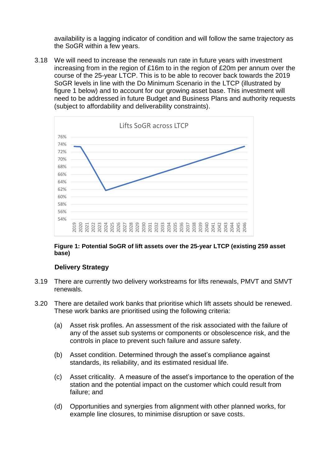availability is a lagging indicator of condition and will follow the same trajectory as the SoGR within a few years.

3.18 We will need to increase the renewals run rate in future years with investment increasing from in the region of £16m to in the region of £20m per annum over the course of the 25-year LTCP. This is to be able to recover back towards the 2019 SoGR levels in line with the Do Minimum Scenario in the LTCP (illustrated by figure 1 below) and to account for our growing asset base. This investment will need to be addressed in future Budget and Business Plans and authority requests (subject to affordability and deliverability constraints).



#### **Figure 1: Potential SoGR of lift assets over the 25-year LTCP (existing 259 asset base)**

#### **Delivery Strategy**

- 3.19 There are currently two delivery workstreams for lifts renewals, PMVT and SMVT renewals.
- 3.20 There are detailed work banks that prioritise which lift assets should be renewed. These work banks are prioritised using the following criteria:
	- (a) Asset risk profiles. An assessment of the risk associated with the failure of any of the asset sub systems or components or obsolescence risk, and the controls in place to prevent such failure and assure safety.
	- (b) Asset condition. Determined through the asset's compliance against standards, its reliability, and its estimated residual life.
	- (c) Asset criticality. A measure of the asset's importance to the operation of the station and the potential impact on the customer which could result from failure; and
	- (d) Opportunities and synergies from alignment with other planned works, for example line closures, to minimise disruption or save costs.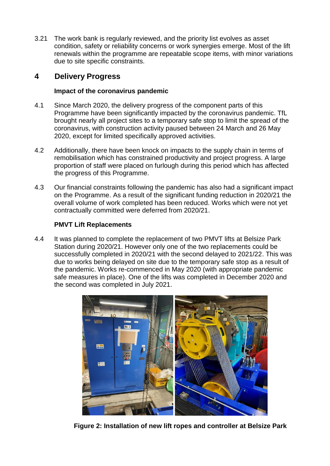3.21 The work bank is regularly reviewed, and the priority list evolves as asset condition, safety or reliability concerns or work synergies emerge. Most of the lift renewals within the programme are repeatable scope items, with minor variations due to site specific constraints.

# **4 Delivery Progress**

### **Impact of the coronavirus pandemic**

- 4.1 Since March 2020, the delivery progress of the component parts of this Programme have been significantly impacted by the coronavirus pandemic. TfL brought nearly all project sites to a temporary safe stop to limit the spread of the coronavirus, with construction activity paused between 24 March and 26 May 2020, except for limited specifically approved activities.
- 4.2 Additionally, there have been knock on impacts to the supply chain in terms of remobilisation which has constrained productivity and project progress. A large proportion of staff were placed on furlough during this period which has affected the progress of this Programme.
- 4.3 Our financial constraints following the pandemic has also had a significant impact on the Programme. As a result of the significant funding reduction in 2020/21 the overall volume of work completed has been reduced. Works which were not yet contractually committed were deferred from 2020/21.

#### **PMVT Lift Replacements**

4.4 It was planned to complete the replacement of two PMVT lifts at Belsize Park Station during 2020/21. However only one of the two replacements could be successfully completed in 2020/21 with the second delayed to 2021/22. This was due to works being delayed on site due to the temporary safe stop as a result of the pandemic. Works re-commenced in May 2020 (with appropriate pandemic safe measures in place). One of the lifts was completed in December 2020 and the second was completed in July 2021.



**Figure 2: Installation of new lift ropes and controller at Belsize Park**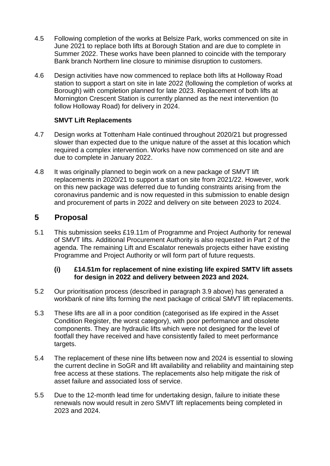- 4.5 Following completion of the works at Belsize Park, works commenced on site in June 2021 to replace both lifts at Borough Station and are due to complete in Summer 2022. These works have been planned to coincide with the temporary Bank branch Northern line closure to minimise disruption to customers.
- 4.6 Design activities have now commenced to replace both lifts at Holloway Road station to support a start on site in late 2022 (following the completion of works at Borough) with completion planned for late 2023. Replacement of both lifts at Mornington Crescent Station is currently planned as the next intervention (to follow Holloway Road) for delivery in 2024.

### **SMVT Lift Replacements**

- 4.7 Design works at Tottenham Hale continued throughout 2020/21 but progressed slower than expected due to the unique nature of the asset at this location which required a complex intervention. Works have now commenced on site and are due to complete in January 2022.
- 4.8 It was originally planned to begin work on a new package of SMVT lift replacements in 2020/21 to support a start on site from 2021/22. However, work on this new package was deferred due to funding constraints arising from the coronavirus pandemic and is now requested in this submission to enable design and procurement of parts in 2022 and delivery on site between 2023 to 2024.

# **5 Proposal**

5.1 This submission seeks £19.11m of Programme and Project Authority for renewal of SMVT lifts. Additional Procurement Authority is also requested in Part 2 of the agenda. The remaining Lift and Escalator renewals projects either have existing Programme and Project Authority or will form part of future requests.

#### **(i) £14.51m for replacement of nine existing life expired SMTV lift assets for design in 2022 and delivery between 2023 and 2024.**

- 5.2 Our prioritisation process (described in paragraph 3.9 above) has generated a workbank of nine lifts forming the next package of critical SMVT lift replacements.
- 5.3 These lifts are all in a poor condition (categorised as life expired in the Asset Condition Register, the worst category), with poor performance and obsolete components. They are hydraulic lifts which were not designed for the level of footfall they have received and have consistently failed to meet performance targets.
- 5.4 The replacement of these nine lifts between now and 2024 is essential to slowing the current decline in SoGR and lift availability and reliability and maintaining step free access at these stations. The replacements also help mitigate the risk of asset failure and associated loss of service.
- 5.5 Due to the 12-month lead time for undertaking design, failure to initiate these renewals now would result in zero SMVT lift replacements being completed in 2023 and 2024.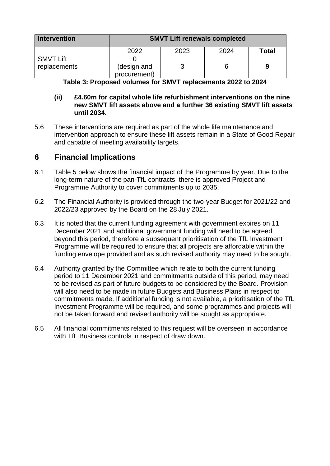| Intervention                     | <b>SMVT Lift renewals completed</b> |      |      |       |  |
|----------------------------------|-------------------------------------|------|------|-------|--|
|                                  | 2022                                | 2023 | 2024 | Total |  |
| <b>SMVT Lift</b><br>replacements | (design and<br>procurement)         |      |      |       |  |

**Table 3: Proposed volumes for SMVT replacements 2022 to 2024**

#### **(ii) £4.60m for capital whole life refurbishment interventions on the nine new SMVT lift assets above and a further 36 existing SMVT lift assets until 2034.**

5.6 These interventions are required as part of the whole life maintenance and intervention approach to ensure these lift assets remain in a State of Good Repair and capable of meeting availability targets.

### **6 Financial Implications**

- 6.1 Table 5 below shows the financial impact of the Programme by year. Due to the long-term nature of the pan-TfL contracts, there is approved Project and Programme Authority to cover commitments up to 2035.
- 6.2 The Financial Authority is provided through the two-year Budget for 2021/22 and 2022/23 approved by the Board on the 28 July 2021.
- 6.3 It is noted that the current funding agreement with government expires on 11 December 2021 and additional government funding will need to be agreed beyond this period, therefore a subsequent prioritisation of the TfL Investment Programme will be required to ensure that all projects are affordable within the funding envelope provided and as such revised authority may need to be sought.
- 6.4 Authority granted by the Committee which relate to both the current funding period to 11 December 2021 and commitments outside of this period, may need to be revised as part of future budgets to be considered by the Board. Provision will also need to be made in future Budgets and Business Plans in respect to commitments made. If additional funding is not available, a prioritisation of the TfL Investment Programme will be required, and some programmes and projects will not be taken forward and revised authority will be sought as appropriate.
- 6.5 All financial commitments related to this request will be overseen in accordance with TfL Business controls in respect of draw down.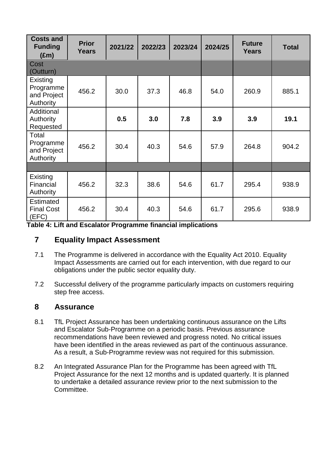| <b>Costs and</b><br><b>Funding</b><br>$(\text{Em})$ | <b>Prior</b><br><b>Years</b> | 2021/22 | 2022/23 | 2023/24 | 2024/25 | <b>Future</b><br><b>Years</b> | <b>Total</b> |
|-----------------------------------------------------|------------------------------|---------|---------|---------|---------|-------------------------------|--------------|
| Cost<br>(Outturn)                                   |                              |         |         |         |         |                               |              |
| Existing<br>Programme<br>and Project<br>Authority   | 456.2                        | 30.0    | 37.3    | 46.8    | 54.0    | 260.9                         | 885.1        |
| Additional<br>Authority<br>Requested                |                              | 0.5     | 3.0     | 7.8     | 3.9     | 3.9                           | 19.1         |
| Total<br>Programme<br>and Project<br>Authority      | 456.2                        | 30.4    | 40.3    | 54.6    | 57.9    | 264.8                         | 904.2        |
|                                                     |                              |         |         |         |         |                               |              |
| Existing<br>Financial<br>Authority                  | 456.2                        | 32.3    | 38.6    | 54.6    | 61.7    | 295.4                         | 938.9        |
| <b>Estimated</b><br><b>Final Cost</b><br>(EFC)      | 456.2                        | 30.4    | 40.3    | 54.6    | 61.7    | 295.6                         | 938.9        |

**Table 4: Lift and Escalator Programme financial implications**

# **7 Equality Impact Assessment**

- 7.1 The Programme is delivered in accordance with the Equality Act 2010. Equality Impact Assessments are carried out for each intervention, with due regard to our obligations under the public sector equality duty.
- 7.2 Successful delivery of the programme particularly impacts on customers requiring step free access.

### **8 Assurance**

- 8.1 TfL Project Assurance has been undertaking continuous assurance on the Lifts and Escalator Sub-Programme on a periodic basis. Previous assurance recommendations have been reviewed and progress noted. No critical issues have been identified in the areas reviewed as part of the continuous assurance. As a result, a Sub-Programme review was not required for this submission.
- 8.2 An Integrated Assurance Plan for the Programme has been agreed with TfL Project Assurance for the next 12 months and is updated quarterly. It is planned to undertake a detailed assurance review prior to the next submission to the Committee.